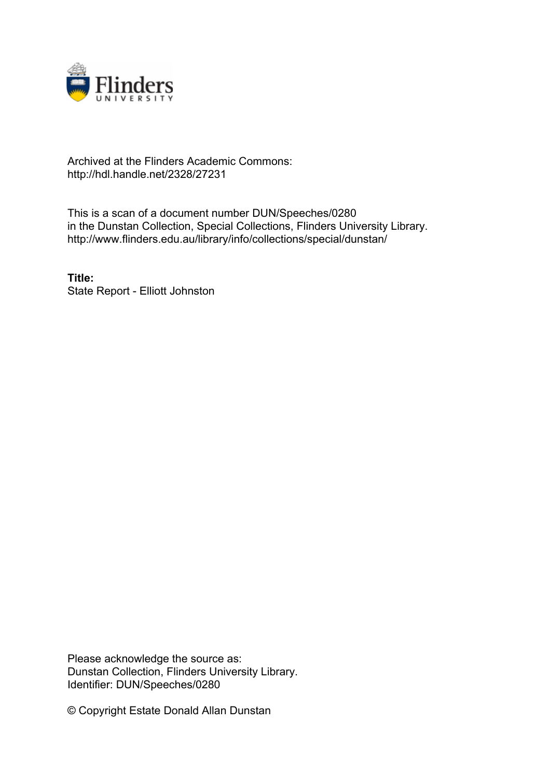

#### Archived at the Flinders Academic Commons: http://hdl.handle.net/2328/27231

This is a scan of a document number DUN/Speeches/0280 in the Dunstan Collection, Special Collections, Flinders University Library. http://www.flinders.edu.au/library/info/collections/special/dunstan/

**Title:** State Report - Elliott Johnston

Please acknowledge the source as: Dunstan Collection, Flinders University Library. Identifier: DUN/Speeches/0280

© Copyright Estate Donald Allan Dunstan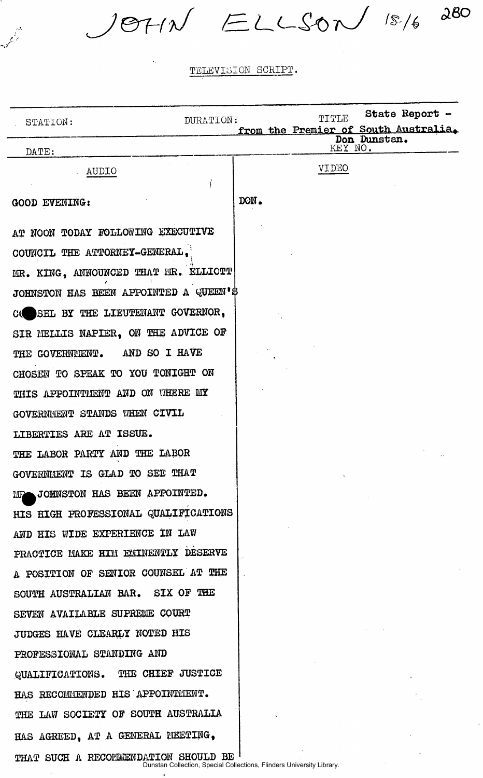$J9711 \le LLS0N$  15/6 280

 $\mathscr{J}^{\mathscr{E}}$ 

 $\sim$ 

| DURATION:<br>STATION:                        |                                                                       | State Report -<br>TITIE<br>from the Premier of South Australia. |  |
|----------------------------------------------|-----------------------------------------------------------------------|-----------------------------------------------------------------|--|
| DATE:                                        |                                                                       | Don Dunstan.<br>KEY NO.                                         |  |
| AUDIO<br>f                                   |                                                                       | <b>AIDEO</b>                                                    |  |
| GOOD EVENING:                                | DON.                                                                  |                                                                 |  |
| AT NOON TODAY FOLLOWING EXECUTIVE            |                                                                       |                                                                 |  |
| COUNCIL THE ATTORNEY-GENERAL.                |                                                                       |                                                                 |  |
| MR. KING, ANNOUNCED THAT MR. ELLIOTT         |                                                                       |                                                                 |  |
| JOHNSTON HAS BEEN APPOINTED A QUEEN'S        |                                                                       |                                                                 |  |
| SEL BY THE LIEUTENANT GOVERNOR,<br><b>C(</b> |                                                                       |                                                                 |  |
| SIR MELLIS NAPIER, ON THE ADVICE OF          |                                                                       |                                                                 |  |
| THE GOVERNMENT. AND SO I HAVE                |                                                                       |                                                                 |  |
| CHOSEN TO SPEAK TO YOU TONIGHT ON            |                                                                       |                                                                 |  |
| THIS APPOINTMENT AND ON WHERE MY             |                                                                       |                                                                 |  |
| GOVERNMENT STANDS WHEN CIVIL                 |                                                                       |                                                                 |  |
| LIBERTIES ARE AT ISSUE.                      |                                                                       |                                                                 |  |
| THE LABOR PARTY AND THE LABOR                |                                                                       |                                                                 |  |
| GOVERNMENT IS GLAD TO SEE THAT               |                                                                       |                                                                 |  |
| JOHNSTON HAS BEEN APPOINTED.<br><b>NIF</b>   |                                                                       |                                                                 |  |
| HIS HIGH PROFESSIONAL QUALIFICATIONS         |                                                                       |                                                                 |  |
| AND HIS WIDE EXPERIENCE IN LAW               |                                                                       |                                                                 |  |
| PRACTICE MAKE HIM EMINENTLY DESERVE          |                                                                       |                                                                 |  |
| A POSITION OF SENIOR COUNSEL AT THE          |                                                                       |                                                                 |  |
| SOUTH AUSTRALIAN BAR. SIX OF THE             |                                                                       |                                                                 |  |
| SEVEN AVAILABLE SUPREME COURT                |                                                                       |                                                                 |  |
| JUDGES HAVE CLEARLY NOTED HIS                |                                                                       |                                                                 |  |
| PROFESSIONAL STANDING AND                    |                                                                       |                                                                 |  |
| QUALIFICATIONS. THE CHIEF JUSTICE            |                                                                       |                                                                 |  |
| HAS RECOMMENDED HIS APPOINTMENT.             |                                                                       |                                                                 |  |
| THE LAW SOCIETY OF SOUTH AUSTRALIA           |                                                                       |                                                                 |  |
| HAS AGREED, AT A GENERAL MEETING.            |                                                                       |                                                                 |  |
| THAT SUCH A RECOMMENDATION SHOULD BE         | Dunstan Collection, Special Collections, Flinders University Library. |                                                                 |  |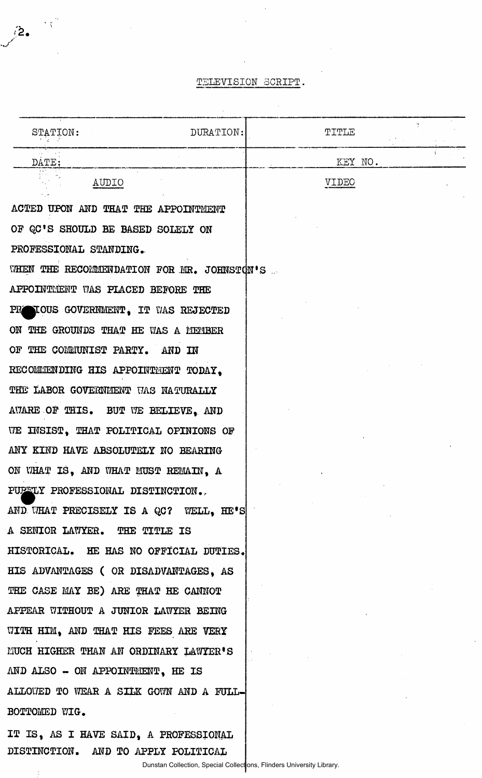$\bar{\lambda}$ 

 $\mathcal{A}_{\mathcal{A}}$ 

 $\hat{\mathcal{A}}$ 

**/2.** 

| STATION:                                   | DURATION: | TITLE   |  |
|--------------------------------------------|-----------|---------|--|
| DATE:                                      |           | KEY NO. |  |
| AUDIO                                      |           | VIDEO   |  |
| ACTED UPON AND THAT THE APPOINTMENT        |           |         |  |
| OF QC'S SHOULD BE BASED SOLELY ON          |           |         |  |
| PROFESSIONAL STANDING.                     |           |         |  |
| WHEN THE RECOMMENDATION FOR MR. JOHNSTON'S |           |         |  |
| APPOINTMENT WAS PLACED BEFORE THE          |           |         |  |
| TOUS GOVERNMENT. IT WAS REJECTED<br>PR     |           |         |  |
| ON THE GROUNDS THAT HE WAS A MEMBER        |           |         |  |
| OF THE COMMUNIST PARTY. AND IN             |           |         |  |
| RECOMMENDING HIS APPOINTMENT TODAY.        |           |         |  |
| THE LABOR GOVERNMENT WAS NATURALLY         |           |         |  |
| AWARE OF THIS. BUT WE BELIEVE, AND         |           |         |  |
| WE INSIST. THAT POLITICAL OPINIONS OF      |           |         |  |
| ANY KIND HAVE ABSOLUTELY NO BEARING        |           |         |  |
| ON WHAT IS, AND WHAT MUST REMAIN, A        |           |         |  |
| PUBLIX PROFESSIONAL DISTINCTION.           |           |         |  |
| AND WHAT PRECISELY IS A QC? WELL, HE'S     |           |         |  |
| A SENIOR LAWYER. THE TITLE IS              |           |         |  |
| HISTORICAL. HE HAS NO OFFICIAL DUTIES.     |           |         |  |
| HIS ADVANTAGES (OR DISADVANTAGES, AS       |           |         |  |
| THE CASE MAY BE) ARE THAT HE CANNOT        |           |         |  |
| APPEAR WITHOUT A JUNIOR LAWYER BEING       |           |         |  |
| WITH HIM, AND THAT HIS FEES ARE VERY       |           |         |  |
| MUCH HIGHER THAN AN ORDINARY LAWYER'S      |           |         |  |
| AND ALSO - ON APPOINTMENT, HE IS           |           |         |  |
| ALLOWED TO WEAR A SILK GOWN AND A FULL-    |           |         |  |
| BOTTOMED WIG.                              |           |         |  |
| IT IS, AS I HAVE SAID, A PROFESSIONAL      |           |         |  |

Dunstan Collection, Special Collections, Flinders University Library.

**DISTINCTION. AND TO APPLY POLITICAL** 

 $\ddot{\cdot}$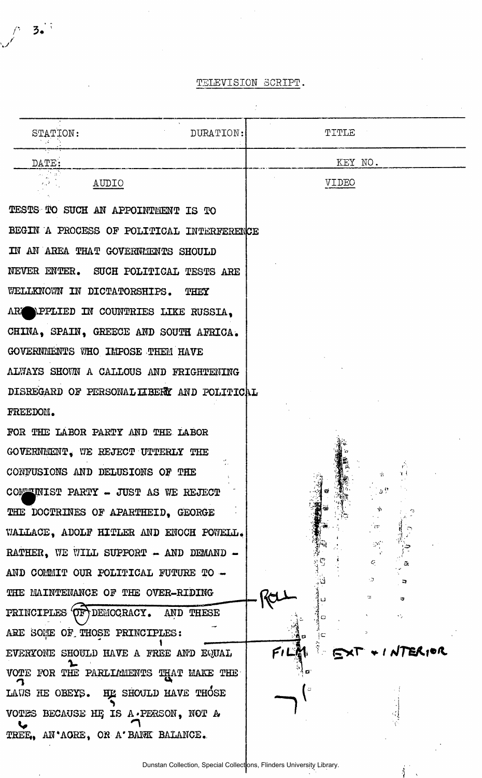$\int$  3.

| STATION:<br>DURATION:                      | TITLE   |                             |
|--------------------------------------------|---------|-----------------------------|
| DATE:                                      | KEY NO. |                             |
| AUDIO                                      | VIDEO   |                             |
| TESTS TO SUCH AN APPOINTMENT IS TO         |         |                             |
| BEGIN A PROCESS OF POLITICAL INTERFERENCE  |         |                             |
| IN AN AREA THAT GOVERNMENTS SHOULD         |         |                             |
| NEVER ENTER. SUCH POLITICAL TESTS ARE      |         |                             |
| WELLKNOWN IN DICTATORSHIPS.<br>THEY        |         |                             |
| ARE APPLIED IN COUNTRIES LIKE RUSSIA,      |         |                             |
| CHINA, SPAIN, GREECE AND SOUTH AFRICA.     |         |                             |
| GOVERNMENTS WHO IMPOSE THEM HAVE           |         |                             |
| ALWAYS SHOWN A CALLOUS AND FRIGHTENING     |         |                             |
| DISREGARD OF PERSONAL LIBERY AND POLITICAL |         |                             |
| FREEDOM.                                   |         |                             |
| FOR THE LABOR PARTY AND THE LABOR          |         |                             |
| GOVERNMENT, WE REJECT UTTERLY THE          |         |                             |
| CONFUSIONS AND DELUSIONS OF THE            |         | $\hat{r}$ .                 |
| COMMUNIST PARTY - JUST AS WE REJECT        |         |                             |
| THE DOCTRINES OF APARTHEID, GEORGE         |         |                             |
| WALLACE, ADOLF HITLER AND ENOCH POWELL.    |         | - 150                       |
| RATHER, WE WILL SUPPORT - AND DEMAND -     |         | $\mathcal{A}_{\mathcal{A}}$ |
| AND COMMIT OUR POLITICAL FUTURE TO -       |         | $C_{\rm c}$<br>- 7          |
| THE MAINTENANCE OF THE OVER-RIDING         |         | u.<br>ø                     |
| PRINCIPLES OF DEMOCRACY. AND THESE         |         | ٠ž,                         |
| ARE SOME OF THOSE PRINCIPLES:              | ١c      |                             |
| EVERYONE SHOULD HAVE A FREE AND EQUAL      | FILM    | . I NTERIOR                 |
| VOTE FOR THE PARLIAMENTS THAT MAKE THE     |         |                             |
| LAWS HE OBEYS. HE SHOULD HAVE THOSE        |         |                             |
| VOTES BECAUSE HE IS A PERSON, NOT A        |         |                             |
| TREE, AN'AGRE, OR A' BANK BALANCE.         |         |                             |

 $\int_{1}^{1}$  and  $\int_{1}^{1}$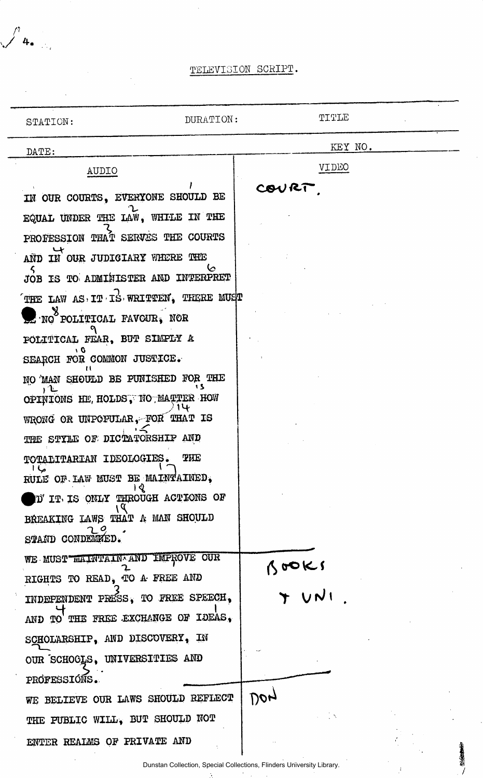*n*  **v/** 

| STATION:                                                                  | DURATION:  | TITLE                                                                |     |
|---------------------------------------------------------------------------|------------|----------------------------------------------------------------------|-----|
| DATE:                                                                     |            | KEY NO.                                                              |     |
| AUDIO                                                                     |            | <b>AIDEO</b>                                                         |     |
| IN OUR COURTS, EVERYONE SHOULD BE                                         |            | COVRT                                                                |     |
| EQUAL UNDER THE LAW, WHILE IN THE                                         |            |                                                                      |     |
| PROFESSION THAT SERVES THE COURTS                                         |            |                                                                      |     |
| AND IN OUR JUDICIARY WHERE THE                                            |            |                                                                      |     |
| JOB IS TO ADMITISTER AND INTERPRET                                        |            |                                                                      |     |
| THE LAW AS IT IS WRITTEN, THERE MUST                                      |            |                                                                      |     |
| $\sum$ NO POLITICAL FAVOUR, NOR                                           |            |                                                                      |     |
| POLITICAL FEAR, BUT SIMPLY A<br>۱O                                        |            |                                                                      |     |
| SEARCH FOR COMMON JUSTICE.                                                |            |                                                                      |     |
| NO MAN SHOULD BE PUNISHED FOR THE<br>, L                                  |            |                                                                      |     |
| OPINIONS HE, HOLDS, NO MATTER HOW                                         |            |                                                                      |     |
| WRONG OR UNPOPULAR, FOR THAT IS                                           |            |                                                                      |     |
| THE STYLE OF DICTATORSHIP AND                                             |            |                                                                      |     |
| TOTALITARIAN IDEOLOGIES.<br>ما ا                                          | <b>THE</b> |                                                                      |     |
| RULE OF LAW MUST BE MAINTAINED,<br>। ९<br>D'IT IS ONLY THROUGH ACTIONS OF |            |                                                                      |     |
| BREAKING LAWS THAT A MAN SHOULD                                           |            |                                                                      |     |
| STAND CONDEMED.                                                           |            |                                                                      |     |
| WE MUST WAINTAIN AND IMPROVE OUR                                          |            |                                                                      |     |
| RIGHTS TO READ, TO A FREE AND                                             |            | 300Ks                                                                |     |
| INDEPENDENT PRESS, TO FREE SPEECH,                                        |            |                                                                      |     |
| AND TO THE FREE EXCHANGE OF IDEAS.                                        |            |                                                                      |     |
| SCHOLARSHIP, AND DISCOVERY, IN                                            |            |                                                                      |     |
| OUR SCHOCLS, UNIVERSITIES AND                                             |            |                                                                      |     |
| PROFESSIONS.                                                              |            |                                                                      |     |
| WE BELIEVE OUR LAWS SHOULD REFLECT                                        |            | 100n                                                                 |     |
| THE PUBLIC WILL, BUT SHOULD NOT                                           |            |                                                                      |     |
| ENTER REALMS OF PRIVATE AND                                               |            |                                                                      | 地域的 |
|                                                                           |            | Dunstan Collection, Special Collections, Flinders University Library |     |

ł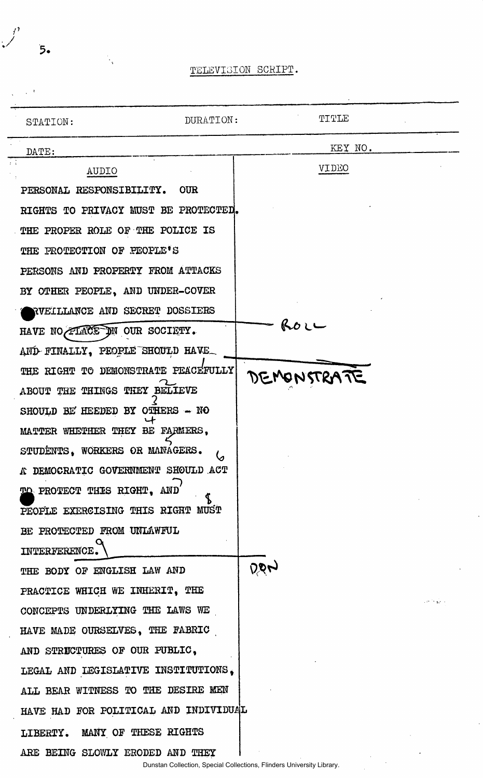| STATION:                              | DURATION: | TITLE        |                                                     |
|---------------------------------------|-----------|--------------|-----------------------------------------------------|
| DATE:                                 |           | KEY NO.      |                                                     |
| AUDIO                                 |           | <b>AIDEO</b> |                                                     |
| PERSONAL RESPONSIBILITY. OUR          |           |              |                                                     |
| RIGHTS TO PRIVACY MUST BE PROTECTED.  |           |              |                                                     |
| THE PROPER ROLE OF THE POLICE IS      |           |              |                                                     |
| THE PROTECTION OF PEOPLE'S            |           |              |                                                     |
| PERSONS AND PROPERTY FROM ATTACKS     |           |              |                                                     |
| BY OTHER PEOPLE, AND UNDER-COVER      |           |              |                                                     |
| RVEILLANCE AND SECRET DOSSIERS        |           |              |                                                     |
| HAVE NO FLACE DN OUR SOCIETY.         |           | いひしー         |                                                     |
| AND FINALLY, PEOPLE SHOULD HAVE       |           |              |                                                     |
| THE RIGHT TO DEMONSTRATE PEACEFULLY   |           | DEMONSTRATE  |                                                     |
| ABOUT THE THINGS THEY BELIEVE         |           |              |                                                     |
| SHOULD BE HEEDED BY OTHERS - NO       |           |              |                                                     |
| MATTER WHETHER THEY BE FARMERS,       |           |              |                                                     |
| STUDENTS, WORKERS OR MANAGERS.        |           |              |                                                     |
| A DEMOCRATIC GOVERNMENT SHOULD ACT    |           |              |                                                     |
| TO PROTECT THIS RIGHT, AND            |           |              |                                                     |
| PEOPLE EXERCISING THIS RIGHT MUST     |           |              |                                                     |
| BE PROTECTED FROM UNLAWFUL            |           |              |                                                     |
| INTERFERENCE.                         |           |              |                                                     |
| THE BODY OF ENGLISH LAW AND           |           | ঢ়ঢ়ৼ        |                                                     |
| PRACTICE WHICH WE INHERIT, THE        |           |              | $\mathcal{L}^{(2n+1)}$ . The $\mathcal{L}^{(2n+1)}$ |
| CONCEPTS UNDERLYING THE LAWS WE       |           |              |                                                     |
| HAVE MADE OURSELVES, THE FABRIC       |           |              |                                                     |
| AND STRUCTURES OF OUR PUBLIC,         |           |              |                                                     |
| LEGAL AND LEGISLATIVE INSTITUTIONS,   |           |              |                                                     |
| ALL BEAR WITNESS TO THE DESIRE MEN    |           |              |                                                     |
| HAVE HAD FOR POLITICAL AND INDIVIDUAL |           |              |                                                     |
| LIBERTY. MANY OF THESE RIGHTS         |           |              |                                                     |
| ARE BEING SLOWLY ERODED AND THEY      |           |              |                                                     |

5.

Ñ.

*r*  /

بد

 $\frac{1}{\sqrt{2}}$